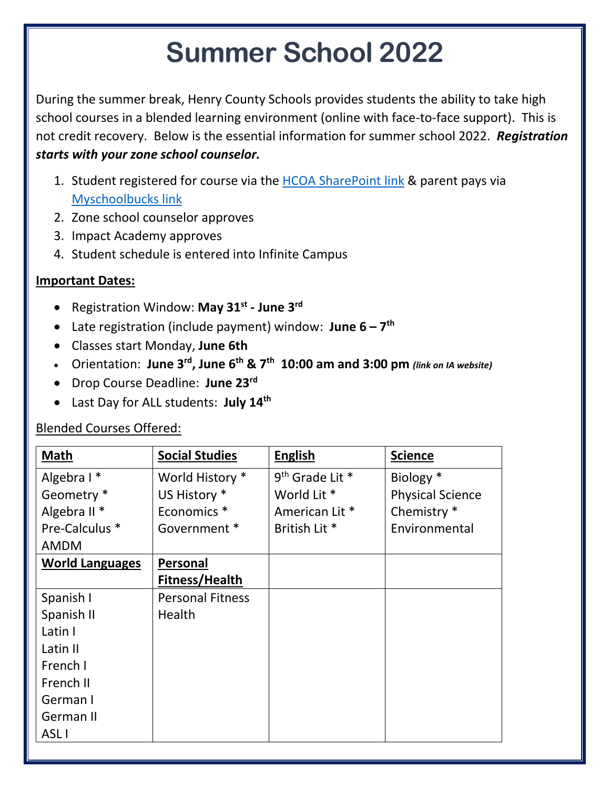## **Summer School 2022**

During the summer break, Henry County Schools provides students the ability to take high school courses in a blended learning environment (online with face-to-face support). This is not credit recovery. Below is the essential information for summer school 2022. *Registration starts with your zone school counselor.*

- 1. Student registered for course via the [HCOA SharePoint](https://henryco.sharepoint.com/sites/o365_tenant/impactcourserequests/sitepages/iw_NewForm.aspx?pageType=8&lID=5c7b09c5%2D10ce%2D493e%2D99a6%2D18cdb0748db6&Source=https%3A%2F%2Fhenryco%2Esharepoint%2Ecom%2Fsites%2FO365%5Ftenant%2Fimpactcourserequests%2FLists%2FStudent%2520Course%2520Requests%2FAllItems%2Easpx&RootFolder=%2Fsites%2FO365%5Ftenant%2Fimpactcourserequests%2FLists%2FStudent%20Course%20Requests&Web=4516d6a2%2D0237%2D40e0%2Da99b%2Daa1662a5153a) link & parent pays via [Myschoolbucks](https://www.myschoolbucks.com/ver2/getmain?requestAction=home) link
- 2. Zone school counselor approves
- 3. Impact Academy approves
- 4. Student schedule is entered into Infinite Campus

## **Important Dates:**

- Registration Window: **May 31st - June 3rd**
- Late registration (include payment) window: **June 6 – 7 th**
- Classes start Monday, **June 6th**
- Orientation: **June 3rd, June 6th & 7th 10:00 am and 3:00 pm** *(link on IA website)*
- Drop Course Deadline: **June 23rd**
- Last Day for ALL students: **July 14th**

## Blended Courses Offered:

| <b>Math</b>             | <b>Social Studies</b>   | <b>English</b>            | <b>Science</b>          |
|-------------------------|-------------------------|---------------------------|-------------------------|
| Algebra I*              | World History *         | $9th$ Grade Lit $*$       | Biology *               |
| Geometry *              | US History *            | World Lit *               | <b>Physical Science</b> |
| Algebra II <sup>*</sup> | Economics <sup>*</sup>  | American Lit <sup>*</sup> | Chemistry *             |
| Pre-Calculus *          | Government *            | British Lit <sup>*</sup>  | Environmental           |
| <b>AMDM</b>             |                         |                           |                         |
| <b>World Languages</b>  | Personal                |                           |                         |
|                         | Fitness/Health          |                           |                         |
| Spanish I               | <b>Personal Fitness</b> |                           |                         |
| Spanish II              | Health                  |                           |                         |
| Latin I                 |                         |                           |                         |
| Latin II                |                         |                           |                         |
| French I                |                         |                           |                         |
| French II               |                         |                           |                         |
| German I                |                         |                           |                         |
| German II               |                         |                           |                         |
| ASL <sub>I</sub>        |                         |                           |                         |